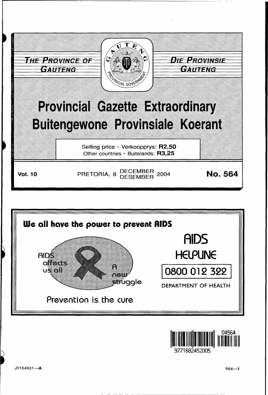



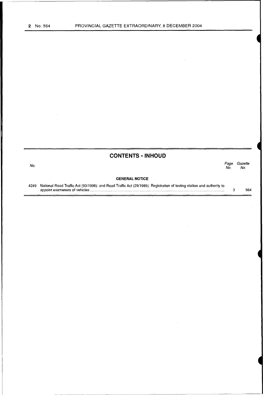$\label{eq:2} \frac{1}{\sqrt{2}}\sum_{i=1}^n \frac{1}{\sqrt{2\pi}}\sum_{i=1}^n \frac{1}{\sqrt{2\pi}}\sum_{i=1}^n \frac{1}{\sqrt{2\pi}}\sum_{i=1}^n \frac{1}{\sqrt{2\pi}}\sum_{i=1}^n \frac{1}{\sqrt{2\pi}}\sum_{i=1}^n \frac{1}{\sqrt{2\pi}}\sum_{i=1}^n \frac{1}{\sqrt{2\pi}}\sum_{i=1}^n \frac{1}{\sqrt{2\pi}}\sum_{i=1}^n \frac{1}{\sqrt{2\pi}}\sum_{i=1}^n \frac{1}{$ 

 $\bar{\mathcal{A}}$ 

 $\hat{\boldsymbol{\beta}}$ 

 $\bar{z}$ 

## **CONTENTS • INHOUD**

| No. |                                                                                                                             | Page<br>No. | Gazette<br>No. |
|-----|-----------------------------------------------------------------------------------------------------------------------------|-------------|----------------|
|     | <b>GENERAL NOTICE</b>                                                                                                       |             |                |
|     | 249 - National Road Traffic Act (93/1996): and Road Traffic Act (29/1989): Registration of testing station and authority to |             |                |

4249 National Road Traffic Act (93/1996): and Road Traffic Act (29/1989): Registration of testing station and authority to appoint exameners of vehicles ................................................................................................................................... .. 3 564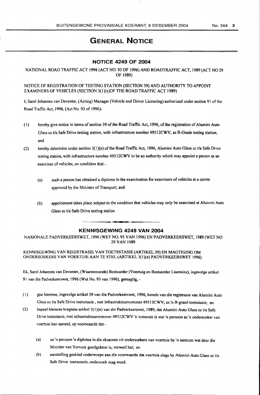## **GENERAL NOTICE**

## **NOTICE 4249 OF 2004**

NATIONAL ROAD TRAFFIC ACT 1996 (ACT NO. 93 OF 1996) AND ROADTRAFFIC ACT, 1989 (ACT NO 29 OF 1989)

NOTICE OF REGISTRATION OF TESTING STATION (SECTION 39) AND AUTHORITY TO APPOINT EXAMINERS OF VEHICLES (SECTION 3(1)(e)OF THE ROAD TRAFFIC ACT 1989)

I, Sarel Johannes van Deventer, (Acting) Manager (Vehicle and Driver Licencing) authorized under section 91 of the Road Traffic Act, 1996, (Act No. 93 of 1996)-

- (1) hereby give notice in tenns of section 39 of the Road Traffic Act, 1996, of the registration of Alumini Auto Glass cc t/a Safe Drive testing station, with infrastructure number 49512CWV, as B-Grade testing station; and
- (2) hereby detennine under section 3(1 )(e) of the Road Traffic Act, 1996, Alumini Auto Glass cc t/a Safe Drive testing station, with infrastructure number 49512CWV to be an authority which may appoint a person as an examiner of vehicles, on condition that-
	- (a) such a person has obtained a diploma in the examination for examiners of vehicles at a centre approved by the Minister of Transport; and
	- (b) appointment takes place subject to the condition that vehicles may only be examined at Alumini Auto Glass cc t/a Safe Drive testing station

## **KENNISGEWING 4249 VAN 2004**

NASIONALE PADVERKEERSWET, 1996 (WET NO. 93 VAN 1996) EN PADVERKEERSWET, 1989 (WET NO 29 VAN 1989

KENNJSGEWING VAN REGISTRASIE VAN TOETSSTASIE (ARTIKEL 39) EN MAGTIGING OM ONDERSOEKERS VAN VOERTUIE AAN TE STEL (ARTIKEL 3(1 )(e) PADVERKEERSWET 1996)

Ek. Sarel Johannes van Deventer, (Waamemende) Bestuurder (Voertuig en Bestuurder Lisensies), ingevolge artikel 91 van die Padverkeerswet, 1996 (Wet No. 93 van 1996), gemagtig,-

- (I) gee hiermee, ingevolge artikel 39 van die Padverkeerswet, 1996, kennis van die registrasie van Alumini Auto Glass cc t/a Safe Drive toetsstasie, met infrastruktuurnommer 49512CWV, as 'n B-graad toetsstasie; en
- (2) bepaal hiermee kragtens artikel 3(1)(e) van die Padverkeerswet, 1989, dat Alumini Auto Glass cc t/a Safe Drive toetsstasie, met infrastruktuumommcr 495 I2CWV 'n instansie is wat 'n persoon as 'n ondersoeker van voertuie kan aanstel, op voorwaarde dat -
	- (a) so 'n persoon 'n diploma in die eksamen vir ondersoekers van voertuie by 'n sentrum wat deur die Minister van Vervoer goedgekeur is, verwerf het; en
	- (b) aanstelling geskied onderworpe aan die voorwaarde dat voertuie slegs by Alumini Auto Glass cc t/a Safe Drive toetsstasie, ondersoek mag word.